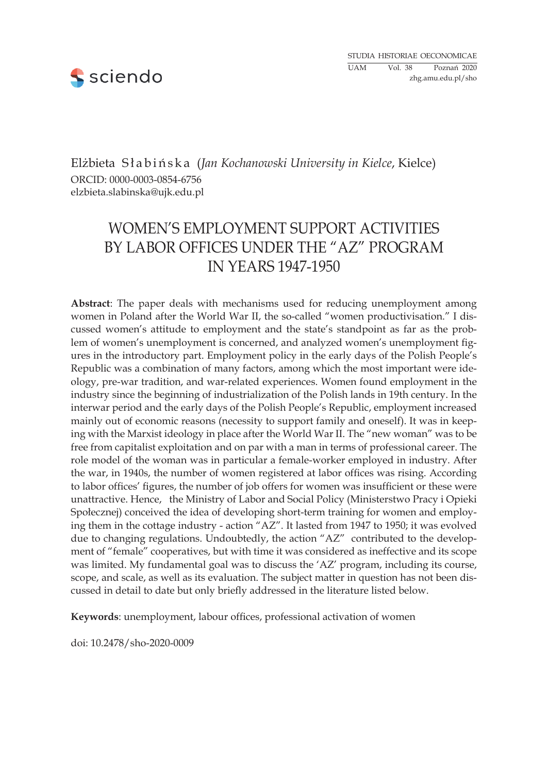

Elżbieta S ł a b i ń s k a (*Jan Kochanowski University in Kielce*, Kielce) ORCID: 0000-0003-0854-6756 elzbieta.slabinska@ujk.edu.pl

# WOMEN's EMPLOYMENT SUPPORT ACTIVITIES BY LABOR OFFICES UNDER THE "AZ" PROGRAM IN YEARS 1947-1950

**Abstract**: The paper deals with mechanisms used for reducing unemployment among women in Poland after the World War II, the so-called "women productivisation." I discussed women's attitude to employment and the state's standpoint as far as the problem of women's unemployment is concerned, and analyzed women's unemployment figures in the introductory part. Employment policy in the early days of the Polish People's Republic was a combination of many factors, among which the most important were ideology, pre-war tradition, and war-related experiences. Women found employment in the industry since the beginning of industrialization of the Polish lands in 19th century. In the interwar period and the early days of the Polish People's Republic, employment increased mainly out of economic reasons (necessity to support family and oneself). It was in keeping with the Marxist ideology in place after the World War II. The "new woman" was to be free from capitalist exploitation and on par with a man in terms of professional career. The role model of the woman was in particular a female-worker employed in industry. After the war, in 1940s, the number of women registered at labor offices was rising. According to labor offices' figures, the number of job offers for women was insufficient or these were unattractive. Hence, the Ministry of Labor and Social Policy (Ministerstwo Pracy i Opieki Społecznej) conceived the idea of developing short-term training for women and employing them in the cottage industry - action "AZ". It lasted from 1947 to 1950; it was evolved due to changing regulations. Undoubtedly, the action "AZ" contributed to the development of "female" cooperatives, but with time it was considered as ineffective and its scope was limited. My fundamental goal was to discuss the 'AZ' program, including its course, scope, and scale, as well as its evaluation. The subject matter in question has not been discussed in detail to date but only briefly addressed in the literature listed below.

**Keywords**: unemployment, labour offices, professional activation of women

doi: 10.2478/sho-2020-0009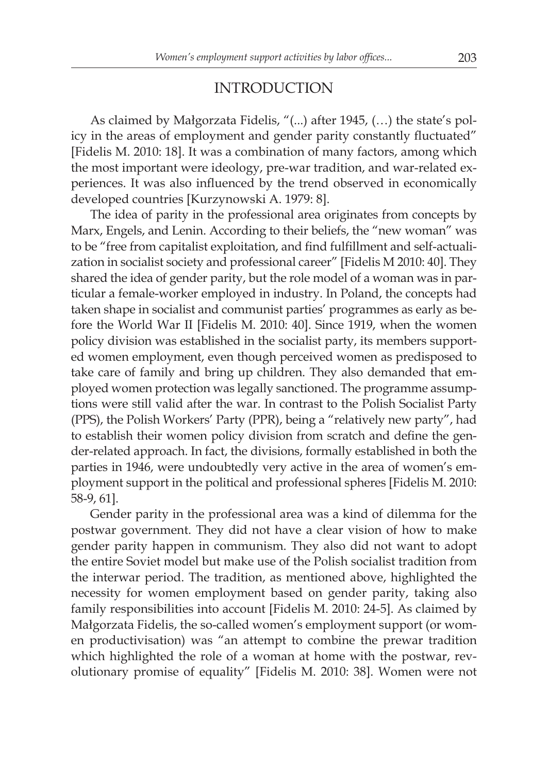### INTRODUCTION

As claimed by Małgorzata Fidelis, "(...) after 1945, (…) the state's policy in the areas of employment and gender parity constantly fluctuated" [Fidelis M. 2010: 18]. It was a combination of many factors, among which the most important were ideology, pre-war tradition, and war-related experiences. It was also influenced by the trend observed in economically developed countries [Kurzynowski A. 1979: 8].

The idea of parity in the professional area originates from concepts by Marx, Engels, and Lenin. According to their beliefs, the "new woman" was to be "free from capitalist exploitation, and find fulfillment and self-actualization in socialist society and professional career" [Fidelis M 2010: 40]. They shared the idea of gender parity, but the role model of a woman was in particular a female-worker employed in industry. In Poland, the concepts had taken shape in socialist and communist parties' programmes as early as before the World War II [Fidelis M. 2010: 40]. Since 1919, when the women policy division was established in the socialist party, its members supported women employment, even though perceived women as predisposed to take care of family and bring up children. They also demanded that employed women protection was legally sanctioned. The programme assumptions were still valid after the war. In contrast to the Polish Socialist Party (PPS), the Polish Workers' Party (PPR), being a "relatively new party", had to establish their women policy division from scratch and define the gender-related approach. In fact, the divisions, formally established in both the parties in 1946, were undoubtedly very active in the area of women's employment support in the political and professional spheres [Fidelis M. 2010: 58-9, 61].

Gender parity in the professional area was a kind of dilemma for the postwar government. They did not have a clear vision of how to make gender parity happen in communism. They also did not want to adopt the entire Soviet model but make use of the Polish socialist tradition from the interwar period. The tradition, as mentioned above, highlighted the necessity for women employment based on gender parity, taking also family responsibilities into account [Fidelis M. 2010: 24-5]. As claimed by Małgorzata Fidelis, the so-called women's employment support (or women productivisation) was "an attempt to combine the prewar tradition which highlighted the role of a woman at home with the postwar, revolutionary promise of equality" [Fidelis M. 2010: 38]. Women were not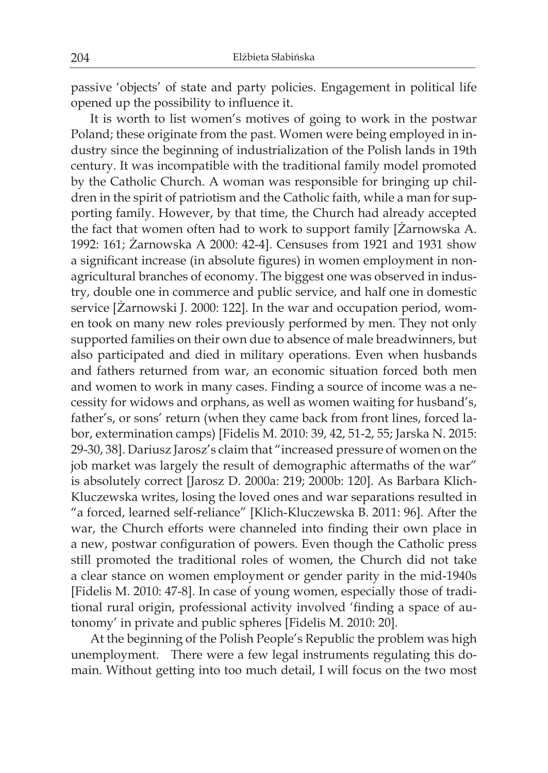passive 'objects' of state and party policies. Engagement in political life opened up the possibility to influence it.

It is worth to list women's motives of going to work in the postwar Poland; these originate from the past. Women were being employed in industry since the beginning of industrialization of the Polish lands in 19th century. It was incompatible with the traditional family model promoted by the Catholic Church. A woman was responsible for bringing up children in the spirit of patriotism and the Catholic faith, while a man for supporting family. However, by that time, the Church had already accepted the fact that women often had to work to support family [Żarnowska A. 1992: 161; Żarnowska A 2000: 42-4]. Censuses from 1921 and 1931 show a significant increase (in absolute figures) in women employment in nonagricultural branches of economy. The biggest one was observed in industry, double one in commerce and public service, and half one in domestic service [Żarnowski J. 2000: 122]. In the war and occupation period, women took on many new roles previously performed by men. They not only supported families on their own due to absence of male breadwinners, but also participated and died in military operations. Even when husbands and fathers returned from war, an economic situation forced both men and women to work in many cases. Finding a source of income was a necessity for widows and orphans, as well as women waiting for husband's, father's, or sons' return (when they came back from front lines, forced labor, extermination camps) [Fidelis M. 2010: 39, 42, 51-2, 55; Jarska N. 2015: 29-30, 38]. Dariusz Jarosz's claim that "increased pressure of women on the job market was largely the result of demographic aftermaths of the war" is absolutely correct [Jarosz D. 2000a: 219; 2000b: 120]. As Barbara Klich-Kluczewska writes, losing the loved ones and war separations resulted in "a forced, learned self-reliance" [Klich-Kluczewska B. 2011: 96]. After the war, the Church efforts were channeled into finding their own place in a new, postwar configuration of powers. Even though the Catholic press still promoted the traditional roles of women, the Church did not take a clear stance on women employment or gender parity in the mid-1940s [Fidelis M. 2010: 47-8]. In case of young women, especially those of traditional rural origin, professional activity involved 'finding a space of autonomy' in private and public spheres [Fidelis M. 2010: 20].

At the beginning of the Polish People's Republic the problem was high unemployment. There were a few legal instruments regulating this domain. Without getting into too much detail, I will focus on the two most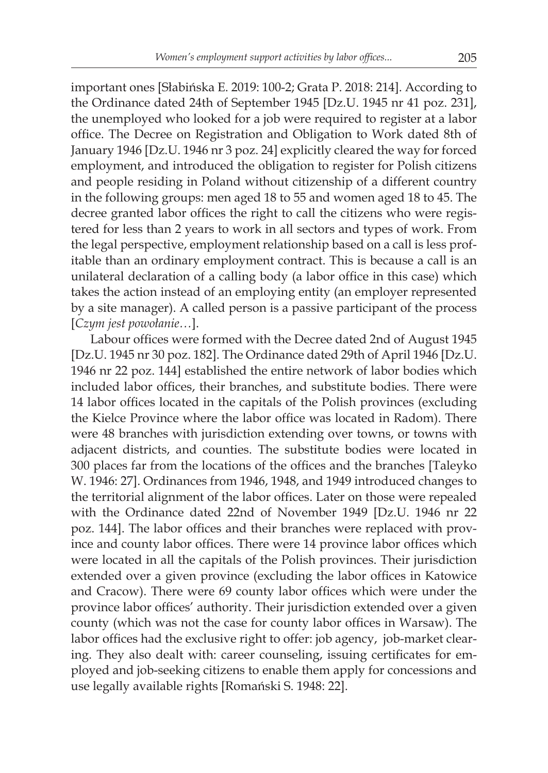important ones [Słabińska E. 2019: 100-2; Grata P. 2018: 214]. According to the Ordinance dated 24th of September 1945 [Dz.U. 1945 nr 41 poz. 231], the unemployed who looked for a job were required to register at a labor office. The Decree on Registration and Obligation to Work dated 8th of January 1946 [Dz.U. 1946 nr 3 poz. 24] explicitly cleared the way for forced employment, and introduced the obligation to register for Polish citizens and people residing in Poland without citizenship of a different country in the following groups: men aged 18 to 55 and women aged 18 to 45. The decree granted labor offices the right to call the citizens who were registered for less than 2 years to work in all sectors and types of work. From the legal perspective, employment relationship based on a call is less profitable than an ordinary employment contract. This is because a call is an unilateral declaration of a calling body (a labor office in this case) which takes the action instead of an employing entity (an employer represented by a site manager). A called person is a passive participant of the process [*Czym jest powołanie…*].

Labour offices were formed with the Decree dated 2nd of August 1945 [Dz.U. 1945 nr 30 poz. 182]. The Ordinance dated 29th of April 1946 [Dz.U. 1946 nr 22 poz. 144] established the entire network of labor bodies which included labor offices, their branches, and substitute bodies. There were 14 labor offices located in the capitals of the Polish provinces (excluding the Kielce Province where the labor office was located in Radom). There were 48 branches with jurisdiction extending over towns, or towns with adjacent districts, and counties. The substitute bodies were located in 300 places far from the locations of the offices and the branches [Taleyko W. 1946: 27]. Ordinances from 1946, 1948, and 1949 introduced changes to the territorial alignment of the labor offices. Later on those were repealed with the Ordinance dated 22nd of November 1949 [Dz.U. 1946 nr 22 poz. 144]. The labor offices and their branches were replaced with province and county labor offices. There were 14 province labor offices which were located in all the capitals of the Polish provinces. Their jurisdiction extended over a given province (excluding the labor offices in Katowice and Cracow). There were 69 county labor offices which were under the province labor offices' authority. Their jurisdiction extended over a given county (which was not the case for county labor offices in Warsaw). The labor offices had the exclusive right to offer: job agency, job-market clearing. They also dealt with: career counseling, issuing certificates for employed and job-seeking citizens to enable them apply for concessions and use legally available rights [Romański S. 1948: 22].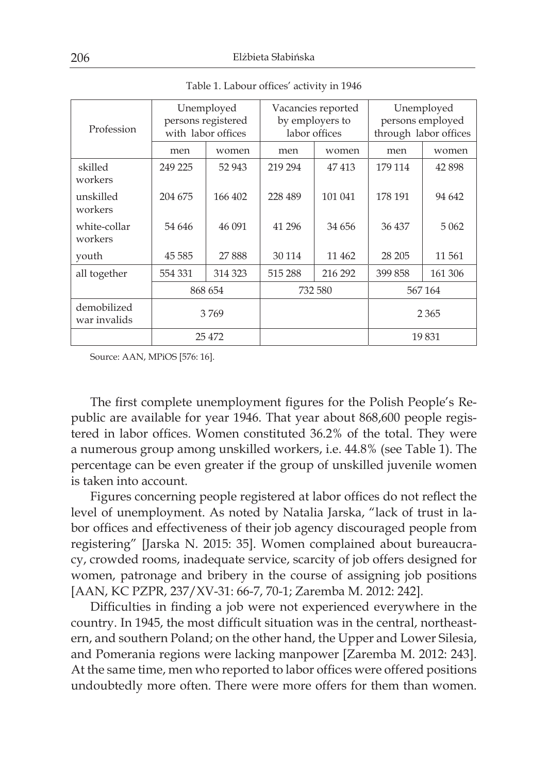| Profession                  | Unemployed<br>persons registered<br>with labor offices |         | Vacancies reported<br>by employers to<br>labor offices |         | Unemployed<br>persons employed<br>through labor offices |          |
|-----------------------------|--------------------------------------------------------|---------|--------------------------------------------------------|---------|---------------------------------------------------------|----------|
|                             | men                                                    | women   | men                                                    | women   | men                                                     | women    |
| skilled<br>workers          | 249 225                                                | 52 943  | 219 294                                                | 47413   | 179 114                                                 | 42 8 9 8 |
| unskilled<br>workers        | 204 675                                                | 166 402 | 228 489                                                | 101 041 | 178 191                                                 | 94 642   |
| white-collar<br>workers     | 54 646                                                 | 46 091  | 41 296                                                 | 34 656  | 36 437                                                  | 5 0 6 2  |
| youth                       | 45 5 85                                                | 27888   | 30 114                                                 | 11 4 62 | 28 20 5                                                 | 11 561   |
| all together                | 554 331                                                | 314 323 | 515 288                                                | 216 292 | 399 858                                                 | 161 306  |
|                             | 868 654                                                |         | 732 580                                                |         | 567164                                                  |          |
| demobilized<br>war invalids | 3769                                                   |         |                                                        |         |                                                         | 2 3 6 5  |
|                             | 25 472                                                 |         |                                                        |         |                                                         | 19831    |

Table 1. Labour offices' activity in 1946

Source: AAN, MPiOS [576: 16].

The first complete unemployment figures for the Polish People's Republic are available for year 1946. That year about 868,600 people registered in labor offices. Women constituted 36.2% of the total. They were a numerous group among unskilled workers, i.e. 44.8% (see Table 1). The percentage can be even greater if the group of unskilled juvenile women is taken into account.

Figures concerning people registered at labor offices do not reflect the level of unemployment. As noted by Natalia Jarska, "lack of trust in labor offices and effectiveness of their job agency discouraged people from registering" [Jarska N. 2015: 35]. Women complained about bureaucracy, crowded rooms, inadequate service, scarcity of job offers designed for women, patronage and bribery in the course of assigning job positions [AAN, KC PZPR, 237/XV-31: 66-7, 70-1; Zaremba M. 2012: 242].

Difficulties in finding a job were not experienced everywhere in the country. In 1945, the most difficult situation was in the central, northeastern, and southern Poland; on the other hand, the Upper and Lower Silesia, and Pomerania regions were lacking manpower [Zaremba M. 2012: 243]. At the same time, men who reported to labor offices were offered positions undoubtedly more often. There were more offers for them than women.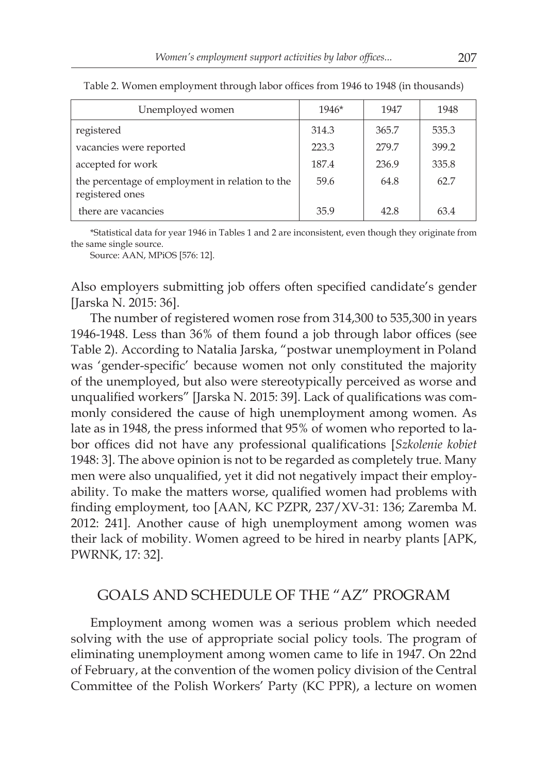| Unemployed women                                                   | $1946*$ | 1947  | 1948  |
|--------------------------------------------------------------------|---------|-------|-------|
| registered                                                         | 314.3   | 365.7 | 535.3 |
| vacancies were reported                                            | 223.3   | 279.7 | 399.2 |
| accepted for work                                                  | 187.4   | 236.9 | 335.8 |
| the percentage of employment in relation to the<br>registered ones | 59.6    | 64.8  | 62.7  |
| there are vacancies                                                | 35.9    | 42.8  | 63.4  |

Table 2. Women employment through labor offices from 1946 to 1948 (in thousands)

\*Statistical data for year 1946 in Tables 1 and 2 are inconsistent, even though they originate from the same single source.

Source: AAN, MPiOS [576: 12].

Also employers submitting job offers often specified candidate's gender [Jarska N. 2015: 36].

The number of registered women rose from 314,300 to 535,300 in years 1946-1948. Less than 36% of them found a job through labor offices (see Table 2). According to Natalia Jarska, "postwar unemployment in Poland was 'gender-specific' because women not only constituted the majority of the unemployed, but also were stereotypically perceived as worse and unqualified workers" [Jarska N. 2015: 39]. Lack of qualifications was commonly considered the cause of high unemployment among women. As late as in 1948, the press informed that 95% of women who reported to labor offices did not have any professional qualifications [*Szkolenie kobiet*  1948: 3]. The above opinion is not to be regarded as completely true. Many men were also unqualified, yet it did not negatively impact their employability. To make the matters worse, qualified women had problems with finding employment, too [AAN, KC PZPR, 237/XV-31: 136; Zaremba M. 2012: 241]. Another cause of high unemployment among women was their lack of mobility. Women agreed to be hired in nearby plants [APK, PWRNK, 17: 32].

## GOALS AND SCHEDULE OF THE "AZ" PROGRAM

Employment among women was a serious problem which needed solving with the use of appropriate social policy tools. The program of eliminating unemployment among women came to life in 1947. On 22nd of February, at the convention of the women policy division of the Central Committee of the Polish Workers' Party (KC PPR), a lecture on women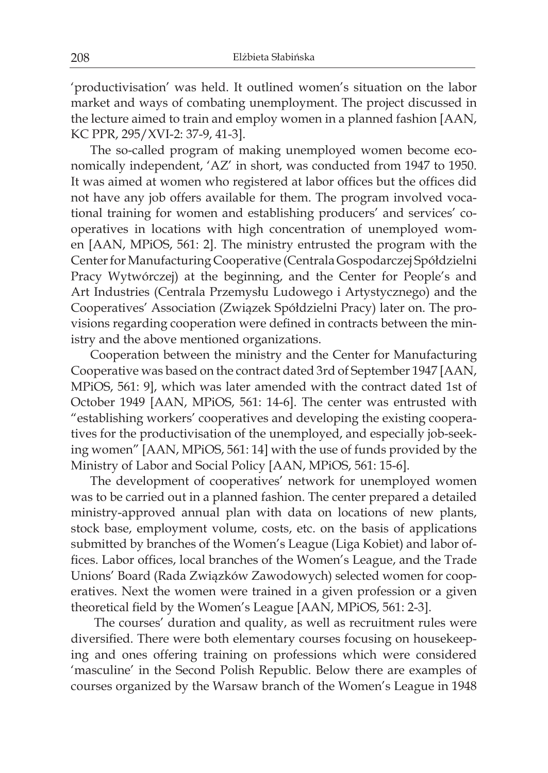'productivisation' was held. It outlined women's situation on the labor market and ways of combating unemployment. The project discussed in the lecture aimed to train and employ women in a planned fashion [AAN, KC PPR, 295/XVI-2: 37-9, 41-3].

The so-called program of making unemployed women become economically independent, 'AZ' in short, was conducted from 1947 to 1950. It was aimed at women who registered at labor offices but the offices did not have any job offers available for them. The program involved vocational training for women and establishing producers' and services' cooperatives in locations with high concentration of unemployed women [AAN, MPiOS, 561: 2]. The ministry entrusted the program with the Center for Manufacturing Cooperative (Centrala Gospodarczej Spółdzielni Pracy Wytwórczej) at the beginning, and the Center for People's and Art Industries (Centrala Przemysłu Ludowego i Artystycznego) and the Cooperatives' Association (Związek Spółdzielni Pracy) later on. The provisions regarding cooperation were defined in contracts between the ministry and the above mentioned organizations.

Cooperation between the ministry and the Center for Manufacturing Cooperative was based on the contract dated 3rd of September 1947 [AAN, MPiOS, 561: 9], which was later amended with the contract dated 1st of October 1949 [AAN, MPiOS, 561: 14-6]. The center was entrusted with "establishing workers' cooperatives and developing the existing cooperatives for the productivisation of the unemployed, and especially job-seeking women" [AAN, MPiOS, 561: 14] with the use of funds provided by the Ministry of Labor and Social Policy [AAN, MPiOS, 561: 15-6].

The development of cooperatives' network for unemployed women was to be carried out in a planned fashion. The center prepared a detailed ministry-approved annual plan with data on locations of new plants, stock base, employment volume, costs, etc. on the basis of applications submitted by branches of the Women's League (Liga Kobiet) and labor offices. Labor offices, local branches of the Women's League, and the Trade Unions' Board (Rada Związków Zawodowych) selected women for cooperatives. Next the women were trained in a given profession or a given theoretical field by the Women's League [AAN, MPiOS, 561: 2-3].

 The courses' duration and quality, as well as recruitment rules were diversified. There were both elementary courses focusing on housekeeping and ones offering training on professions which were considered 'masculine' in the Second Polish Republic. Below there are examples of courses organized by the Warsaw branch of the Women's League in 1948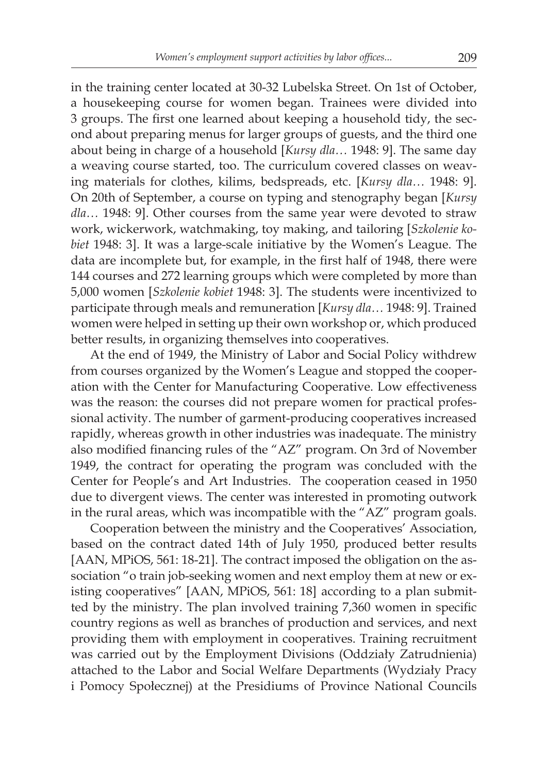in the training center located at 30-32 Lubelska Street. On 1st of October, a housekeeping course for women began. Trainees were divided into 3 groups. The first one learned about keeping a household tidy, the second about preparing menus for larger groups of guests, and the third one about being in charge of a household [*Kursy dla…* 1948: 9]. The same day a weaving course started, too. The curriculum covered classes on weaving materials for clothes, kilims, bedspreads, etc. [*Kursy dla…* 1948: 9]. On 20th of September, a course on typing and stenography began [*Kursy dla…* 1948: 9]. Other courses from the same year were devoted to straw work, wickerwork, watchmaking, toy making, and tailoring [*Szkolenie kobiet* 1948: 3]. It was a large-scale initiative by the Women's League. The data are incomplete but, for example, in the first half of 1948, there were 144 courses and 272 learning groups which were completed by more than 5,000 women [*Szkolenie kobiet* 1948: 3]. The students were incentivized to participate through meals and remuneration [*Kursy dla…* 1948: 9]. Trained women were helped in setting up their own workshop or, which produced better results, in organizing themselves into cooperatives.

At the end of 1949, the Ministry of Labor and Social Policy withdrew from courses organized by the Women's League and stopped the cooperation with the Center for Manufacturing Cooperative. Low effectiveness was the reason: the courses did not prepare women for practical professional activity. The number of garment-producing cooperatives increased rapidly, whereas growth in other industries was inadequate. The ministry also modified financing rules of the "AZ" program. On 3rd of November 1949, the contract for operating the program was concluded with the Center for People's and Art Industries. The cooperation ceased in 1950 due to divergent views. The center was interested in promoting outwork in the rural areas, which was incompatible with the "AZ" program goals.

Cooperation between the ministry and the Cooperatives' Association, based on the contract dated 14th of July 1950, produced better results [AAN, MPiOS, 561: 18-21]. The contract imposed the obligation on the association "o train job-seeking women and next employ them at new or existing cooperatives" [AAN, MPiOS, 561: 18] according to a plan submitted by the ministry. The plan involved training 7,360 women in specific country regions as well as branches of production and services, and next providing them with employment in cooperatives. Training recruitment was carried out by the Employment Divisions (Oddziały Zatrudnienia) attached to the Labor and Social Welfare Departments (Wydziały Pracy i Pomocy Społecznej) at the Presidiums of Province National Councils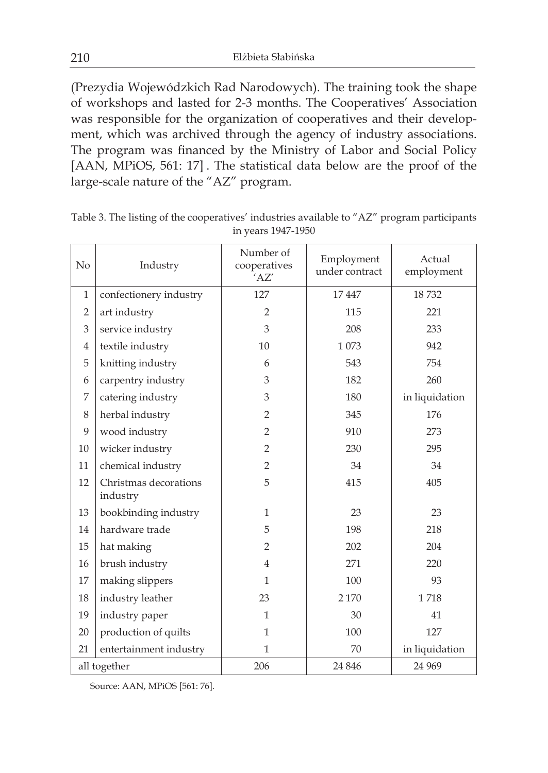(Prezydia Wojewódzkich Rad Narodowych). The training took the shape of workshops and lasted for 2-3 months. The Cooperatives' Association was responsible for the organization of cooperatives and their development, which was archived through the agency of industry associations. The program was financed by the Ministry of Labor and Social Policy [AAN, MPiOS, 561: 17] . The statistical data below are the proof of the large-scale nature of the "AZ" program.

| No             | Industry                          | Number of<br>cooperatives<br>'AZ' | Employment<br>under contract | Actual<br>employment |
|----------------|-----------------------------------|-----------------------------------|------------------------------|----------------------|
| $\mathbf{1}$   | confectionery industry            | 127                               | 17447                        | 18732                |
| $\overline{2}$ | art industry                      | $\overline{2}$                    | 115                          | 221                  |
| 3              | service industry                  | 3                                 | 208                          | 233                  |
| 4              | textile industry                  | 10                                | 1073                         | 942                  |
| 5              | knitting industry                 | 6                                 | 543                          | 754                  |
| 6              | carpentry industry                | 3                                 | 182                          | 260                  |
| 7              | catering industry                 | 3                                 | 180                          | in liquidation       |
| 8              | herbal industry                   | $\overline{2}$                    | 345                          | 176                  |
| 9              | wood industry                     | $\overline{2}$                    | 910                          | 273                  |
| 10             | wicker industry                   | $\overline{2}$                    | 230                          | 295                  |
| 11             | chemical industry                 | $\overline{2}$                    | 34                           | 34                   |
| 12             | Christmas decorations<br>industry | 5                                 | 415                          | 405                  |
| 13             | bookbinding industry              | $\mathbf{1}$                      | 23                           | 23                   |
| 14             | hardware trade                    | 5                                 | 198                          | 218                  |
| 15             | hat making                        | $\overline{2}$                    | 202                          | 204                  |
| 16             | brush industry                    | $\overline{4}$                    | 271                          | 220                  |
| 17             | making slippers                   | $\mathbf{1}$                      | 100                          | 93                   |
| 18             | industry leather                  | 23                                | 2 1 7 0                      | 1718                 |
| 19             | industry paper                    | $\mathbf{1}$                      | 30                           | 41                   |
| 20             | production of quilts              | $\mathbf{1}$                      | 100                          | 127                  |
| 21             | entertainment industry            | $\mathbf{1}$                      | 70                           | in liquidation       |
| all together   |                                   | 206                               | 24 8 46                      | 24 9 69              |

Table 3. The listing of the cooperatives' industries available to "AZ" program participants in years 1947-1950

Source: AAN, MPiOS [561: 76].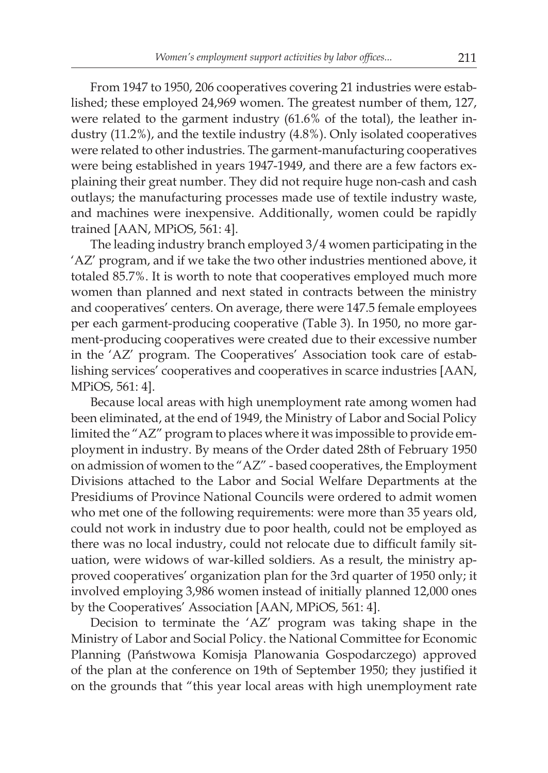From 1947 to 1950, 206 cooperatives covering 21 industries were established; these employed 24,969 women. The greatest number of them, 127, were related to the garment industry (61.6% of the total), the leather industry (11.2%), and the textile industry (4.8%). Only isolated cooperatives were related to other industries. The garment-manufacturing cooperatives were being established in years 1947-1949, and there are a few factors explaining their great number. They did not require huge non-cash and cash outlays; the manufacturing processes made use of textile industry waste, and machines were inexpensive. Additionally, women could be rapidly trained [AAN, MPiOS, 561: 4].

The leading industry branch employed 3/4 women participating in the 'AZ' program, and if we take the two other industries mentioned above, it totaled 85.7%. It is worth to note that cooperatives employed much more women than planned and next stated in contracts between the ministry and cooperatives' centers. On average, there were 147.5 female employees per each garment-producing cooperative (Table 3). In 1950, no more garment-producing cooperatives were created due to their excessive number in the 'AZ' program. The Cooperatives' Association took care of establishing services' cooperatives and cooperatives in scarce industries [AAN, MPiOS, 561: 4].

Because local areas with high unemployment rate among women had been eliminated, at the end of 1949, the Ministry of Labor and Social Policy limited the "AZ" program to places where it was impossible to provide employment in industry. By means of the Order dated 28th of February 1950 on admission of women to the "AZ" - based cooperatives, the Employment Divisions attached to the Labor and Social Welfare Departments at the Presidiums of Province National Councils were ordered to admit women who met one of the following requirements: were more than 35 years old, could not work in industry due to poor health, could not be employed as there was no local industry, could not relocate due to difficult family situation, were widows of war-killed soldiers. As a result, the ministry approved cooperatives' organization plan for the 3rd quarter of 1950 only; it involved employing 3,986 women instead of initially planned 12,000 ones by the Cooperatives' Association [AAN, MPiOS, 561: 4].

Decision to terminate the 'AZ' program was taking shape in the Ministry of Labor and Social Policy. the National Committee for Economic Planning (Państwowa Komisja Planowania Gospodarczego) approved of the plan at the conference on 19th of September 1950; they justified it on the grounds that "this year local areas with high unemployment rate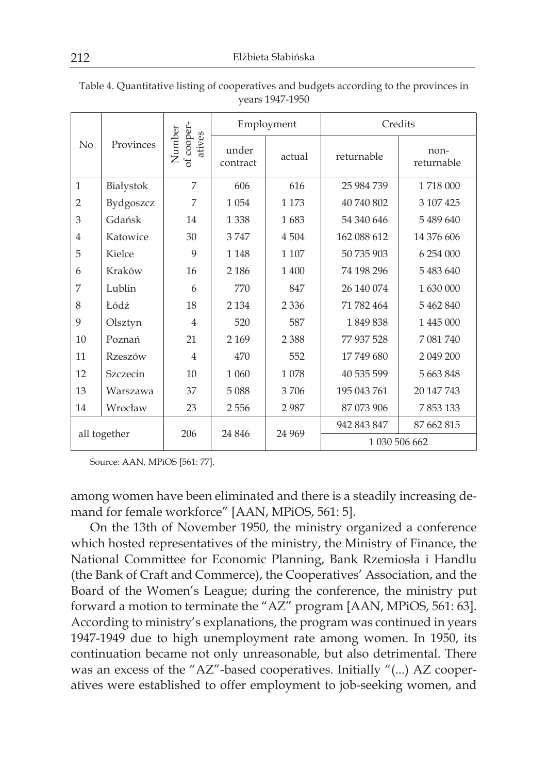|                 |                                |                   | Employment |            | Credits            |            |  |
|-----------------|--------------------------------|-------------------|------------|------------|--------------------|------------|--|
| No<br>Provinces | of cooper-<br>Number<br>atives | under<br>contract | actual     | returnable | non-<br>returnable |            |  |
| $\mathbf{1}$    | Białystok                      | 7                 | 606        | 616        | 25 984 739         | 1718 000   |  |
| $\overline{2}$  | Bydgoszcz                      | 7                 | 1 0 5 4    | 1 1 7 3    | 40 740 802         | 3 107 425  |  |
| 3               | Gdańsk                         | 14                | 1 3 3 8    | 1683       | 54 340 646         | 5489640    |  |
| $\overline{4}$  | Katowice                       | 30                | 3747       | 4 5 0 4    | 162 088 612        | 14 376 606 |  |
| 5               | Kielce                         | 9                 | 1 1 48     | 1 107      | 50 735 903         | 6 254 000  |  |
| 6               | Kraków                         | 16                | 2 1 8 6    | 1 400      | 74 198 296         | 5483640    |  |
| 7               | Lublin                         | 6                 | 770        | 847        | 26 140 074         | 1 630 000  |  |
| 8               | Łódź                           | 18                | 2 1 3 4    | 2 3 3 6    | 71 782 464         | 5 462 840  |  |
| 9               | Olsztyn                        | $\overline{4}$    | 520        | 587        | 1849838            | 1 445 000  |  |
| 10              | Poznań                         | 21                | 2 1 6 9    | 2 3 8 8    | 77 937 528         | 7 081 740  |  |
| 11              | Rzeszów                        | $\overline{4}$    | 470        | 552        | 17749680           | 2 049 200  |  |
| 12              | Szczecin                       | 10                | 1 0 6 0    | 1078       | 40 535 599         | 5 663 848  |  |
| 13              | Warszawa                       | 37                | 5088       | 3706       | 195 043 761        | 20 147 743 |  |
| 14              | Wrocław                        | 23                | 2556       | 2987       | 87 073 906         | 7853133    |  |
|                 |                                |                   | 24 8 46    |            | 942 843 847        | 87 662 815 |  |
| all together    |                                | 206               |            | 24 969     | 1 030 506 662      |            |  |

Table 4. Quantitative listing of cooperatives and budgets according to the provinces in years 1947-1950

Source: AAN, MPiOS [561: 77].

among women have been eliminated and there is a steadily increasing demand for female workforce" [AAN, MPiOS, 561: 5].

On the 13th of November 1950, the ministry organized a conference which hosted representatives of the ministry, the Ministry of Finance, the National Committee for Economic Planning, Bank Rzemiosła i Handlu (the Bank of Craft and Commerce), the Cooperatives' Association, and the Board of the Women's League; during the conference, the ministry put forward a motion to terminate the "AZ" program [AAN, MPiOS, 561: 63]. According to ministry's explanations, the program was continued in years 1947-1949 due to high unemployment rate among women. In 1950, its continuation became not only unreasonable, but also detrimental. There was an excess of the "AZ"-based cooperatives. Initially "(...) AZ cooperatives were established to offer employment to job-seeking women, and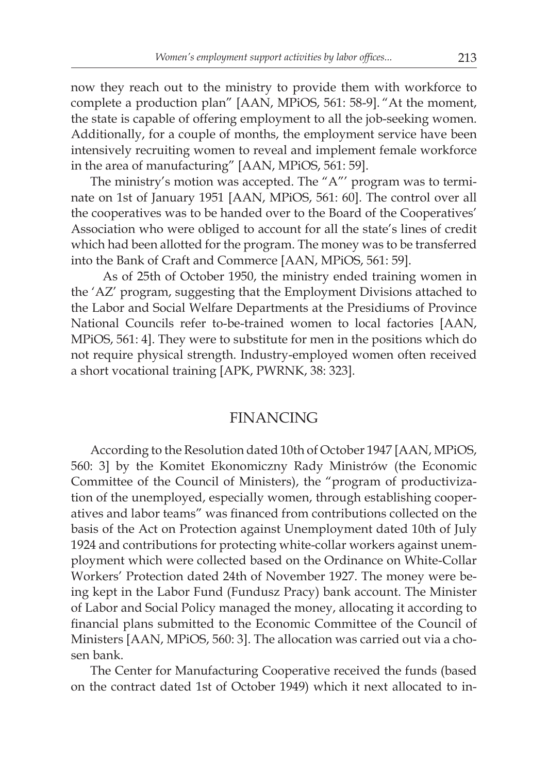now they reach out to the ministry to provide them with workforce to complete a production plan" [AAN, MPiOS, 561: 58-9]. "At the moment, the state is capable of offering employment to all the job-seeking women. Additionally, for a couple of months, the employment service have been intensively recruiting women to reveal and implement female workforce in the area of manufacturing" [AAN, MPiOS, 561: 59].

The ministry's motion was accepted. The "A"' program was to terminate on 1st of January 1951 [AAN, MPiOS, 561: 60]. The control over all the cooperatives was to be handed over to the Board of the Cooperatives' Association who were obliged to account for all the state's lines of credit which had been allotted for the program. The money was to be transferred into the Bank of Craft and Commerce [AAN, MPiOS, 561: 59].

 As of 25th of October 1950, the ministry ended training women in the 'AZ' program, suggesting that the Employment Divisions attached to the Labor and Social Welfare Departments at the Presidiums of Province National Councils refer to-be-trained women to local factories [AAN, MPiOS, 561: 4]. They were to substitute for men in the positions which do not require physical strength. Industry-employed women often received a short vocational training [APK, PWRNK, 38: 323].

# FINANCING

According to the Resolution dated 10th of October 1947 [AAN, MPiOS, 560: 3] by the Komitet Ekonomiczny Rady Ministrów (the Economic Committee of the Council of Ministers), the "program of productivization of the unemployed, especially women, through establishing cooperatives and labor teams" was financed from contributions collected on the basis of the Act on Protection against Unemployment dated 10th of July 1924 and contributions for protecting white-collar workers against unemployment which were collected based on the Ordinance on White-Collar Workers' Protection dated 24th of November 1927. The money were being kept in the Labor Fund (Fundusz Pracy) bank account. The Minister of Labor and Social Policy managed the money, allocating it according to financial plans submitted to the Economic Committee of the Council of Ministers [AAN, MPiOS, 560: 3]. The allocation was carried out via a chosen bank.

The Center for Manufacturing Cooperative received the funds (based on the contract dated 1st of October 1949) which it next allocated to in-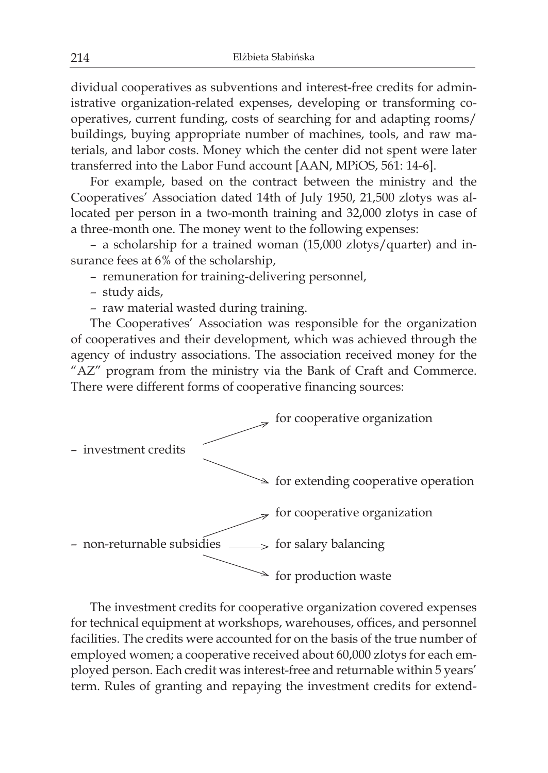dividual cooperatives as subventions and interest-free credits for administrative organization-related expenses, developing or transforming cooperatives, current funding, costs of searching for and adapting rooms/ buildings, buying appropriate number of machines, tools, and raw materials, and labor costs. Money which the center did not spent were later transferred into the Labor Fund account [AAN, MPiOS, 561: 14-6].

For example, based on the contract between the ministry and the Cooperatives' Association dated 14th of July 1950, 21,500 zlotys was allocated per person in a two-month training and 32,000 zlotys in case of a three-month one. The money went to the following expenses:

– a scholarship for a trained woman (15,000 zlotys/quarter) and insurance fees at 6% of the scholarship,

– remuneration for training-delivering personnel,

- study aids,
- raw material wasted during training.

The Cooperatives' Association was responsible for the organization of cooperatives and their development, which was achieved through the agency of industry associations. The association received money for the "AZ" program from the ministry via the Bank of Craft and Commerce. There were different forms of cooperative financing sources:



The investment credits for cooperative organization covered expenses for technical equipment at workshops, warehouses, offices, and personnel facilities. The credits were accounted for on the basis of the true number of employed women; a cooperative received about 60,000 zlotys for each employed person. Each credit was interest-free and returnable within 5 years' term. Rules of granting and repaying the investment credits for extend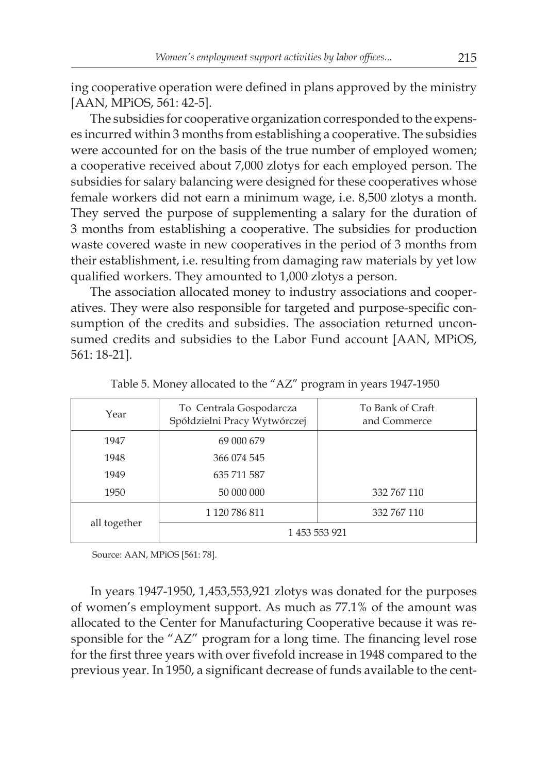ing cooperative operation were defined in plans approved by the ministry [AAN, MPiOS, 561: 42-5].

The subsidies for cooperative organization corresponded to the expenses incurred within 3 months from establishing a cooperative. The subsidies were accounted for on the basis of the true number of employed women; a cooperative received about 7,000 zlotys for each employed person. The subsidies for salary balancing were designed for these cooperatives whose female workers did not earn a minimum wage, i.e. 8,500 zlotys a month. They served the purpose of supplementing a salary for the duration of 3 months from establishing a cooperative. The subsidies for production waste covered waste in new cooperatives in the period of 3 months from their establishment, i.e. resulting from damaging raw materials by yet low qualified workers. They amounted to 1,000 zlotys a person.

The association allocated money to industry associations and cooperatives. They were also responsible for targeted and purpose-specific consumption of the credits and subsidies. The association returned unconsumed credits and subsidies to the Labor Fund account [AAN, MPiOS, 561: 18-21].

| Year         | To Centrala Gospodarcza<br>Spółdzielni Pracy Wytwórczej | To Bank of Craft<br>and Commerce |  |
|--------------|---------------------------------------------------------|----------------------------------|--|
| 1947         | 69 000 679                                              |                                  |  |
| 1948         | 366 074 545                                             |                                  |  |
| 1949         | 635 711 587                                             |                                  |  |
| 1950         | 50 000 000                                              | 332 767 110                      |  |
| all together | 1 120 786 811                                           | 332 767 110                      |  |
|              | 1453 553 921                                            |                                  |  |

Table 5. Money allocated to the "AZ" program in years 1947-1950

Source: AAN, MPiOS [561: 78].

In years 1947-1950, 1,453,553,921 zlotys was donated for the purposes of women's employment support. As much as 77.1% of the amount was allocated to the Center for Manufacturing Cooperative because it was responsible for the "AZ" program for a long time. The financing level rose for the first three years with over fivefold increase in 1948 compared to the previous year. In 1950, a significant decrease of funds available to the cent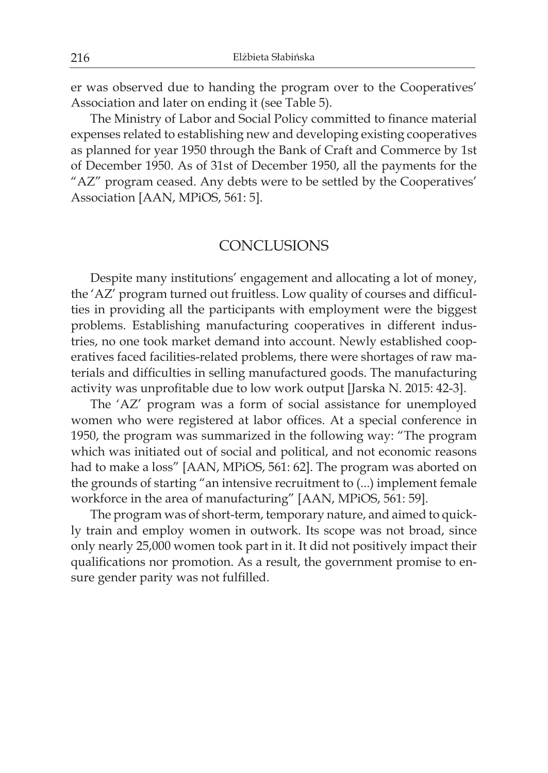er was observed due to handing the program over to the Cooperatives' Association and later on ending it (see Table 5).

The Ministry of Labor and Social Policy committed to finance material expenses related to establishing new and developing existing cooperatives as planned for year 1950 through the Bank of Craft and Commerce by 1st of December 1950. As of 31st of December 1950, all the payments for the "AZ" program ceased. Any debts were to be settled by the Cooperatives' Association [AAN, MPiOS, 561: 5].

# **CONCLUSIONS**

Despite many institutions' engagement and allocating a lot of money, the 'AZ' program turned out fruitless. Low quality of courses and difficulties in providing all the participants with employment were the biggest problems. Establishing manufacturing cooperatives in different industries, no one took market demand into account. Newly established cooperatives faced facilities-related problems, there were shortages of raw materials and difficulties in selling manufactured goods. The manufacturing activity was unprofitable due to low work output [Jarska N. 2015: 42-3].

The 'AZ' program was a form of social assistance for unemployed women who were registered at labor offices. At a special conference in 1950, the program was summarized in the following way: "The program which was initiated out of social and political, and not economic reasons had to make a loss" [AAN, MPiOS, 561: 62]. The program was aborted on the grounds of starting "an intensive recruitment to (...) implement female workforce in the area of manufacturing" [AAN, MPiOS, 561: 59].

The program was of short-term, temporary nature, and aimed to quickly train and employ women in outwork. Its scope was not broad, since only nearly 25,000 women took part in it. It did not positively impact their qualifications nor promotion. As a result, the government promise to ensure gender parity was not fulfilled.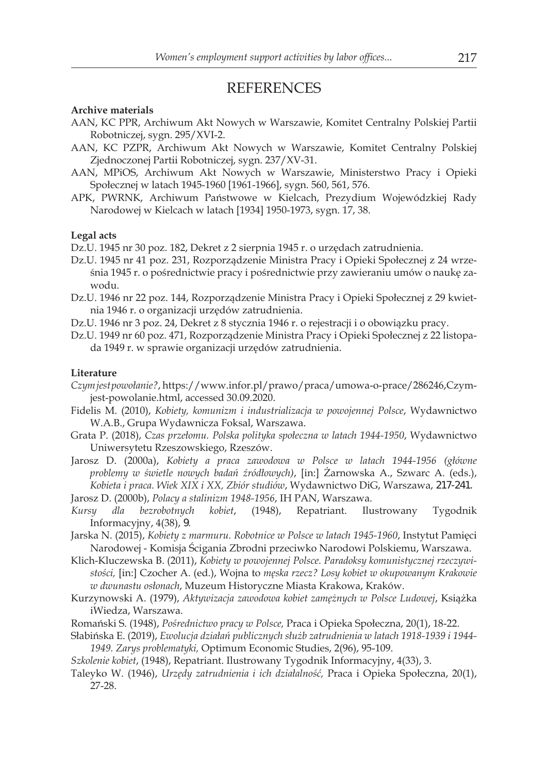### **REFERENCES**

#### **Archive materials**

- AAN, KC PPR, Archiwum Akt Nowych w Warszawie, Komitet Centralny Polskiej Partii Robotniczej, sygn. 295/XVI-2.
- AAN, KC PZPR, Archiwum Akt Nowych w Warszawie, Komitet Centralny Polskiej Zjednoczonej Partii Robotniczej, sygn. 237/XV-31.
- AAN, MPiOS, Archiwum Akt Nowych w Warszawie, Ministerstwo Pracy i Opieki Społecznej w latach 1945-1960 [1961-1966], sygn. 560, 561, 576.
- APK, PWRNK, Archiwum Państwowe w Kielcach, Prezydium Wojewódzkiej Rady Narodowej w Kielcach w latach [1934] 1950-1973, sygn. 17, 38.

#### **Legal acts**

Dz.U. 1945 nr 30 poz. 182, Dekret z 2 sierpnia 1945 r. o urzędach zatrudnienia.

- Dz.U. 1945 nr 41 poz. 231, Rozporządzenie Ministra Pracy i Opieki Społecznej z 24 września 1945 r. o pośrednictwie pracy i pośrednictwie przy zawieraniu umów o naukę zawodu.
- Dz.U. 1946 nr 22 poz. 144, Rozporządzenie Ministra Pracy i Opieki Społecznej z 29 kwietnia 1946 r. o organizacji urzędów zatrudnienia.
- Dz.U. 1946 nr 3 poz. 24, Dekret z 8 stycznia 1946 r. o rejestracji i o obowiązku pracy.
- Dz.U. 1949 nr 60 poz. 471, Rozporządzenie Ministra Pracy i Opieki Społecznej z 22 listopada 1949 r. w sprawie organizacji urzędów zatrudnienia.

### **Literature**

- Czymjestpowołanie?, https://www.infor.pl/prawo/praca/umowa-o-prace/286246,Czymjest-powolanie.html, accessed 30.09.2020.
- Fidelis M. (2010), *Kobiety, komunizm i industrializacja w powojennej Polsce*, Wydawnictwo W.A.B., Grupa Wydawnicza Foksal, Warszawa.
- Grata P. (2018), *Czas przełomu. Polska polityka społeczna w latach 1944-1950*, Wydawnictwo Uniwersytetu Rzeszowskiego, Rzeszów.
- Jarosz D. (2000a), *Kobiety a praca zawodowa w Polsce w latach 1944-1956 (główne problemy w świetle nowych badań źródłowych)*, [in:] Żarnowska A., Szwarc A. (eds.), *Kobieta i praca. Wiek XIX i XX, Zbiór studiów*, Wydawnictwo diG, Warszawa, 217-241.

Jarosz D. (2000b), *Polacy a stalinizm 1948-1956*, IH PAn, Warszawa.

- *Kursy dla bezrobotnych kobiet*, (1948), Repatriant. Ilustrowany Tygodnik Informacyjny, 4(38), 9.
- Jarska N. (2015), *Kobiety z marmuru. Robotnice w Polsce w latach 1945-1960*, Instytut Pamięci Narodowej - Komisja Ścigania Zbrodni przeciwko Narodowi Polskiemu, Warszawa.
- Klich-Kluczewska B. (2011), *Kobiety w powojennej Polsce. Paradoksy komunistycznej rzeczywistości,* [in:] Czocher A. (ed.), Wojna to *męska rzecz? Losy kobiet w okupowanym Krakowie w dwunastu osłonach*, Muzeum Historyczne Miasta Krakowa, Kraków.
- Kurzynowski A. (1979), *Aktywizacja zawodowa kobiet zamężnych w Polsce Ludowej*, Książka iWiedza, Warszawa.
- Romański S. (1948), *Pośrednictwo pracy w Polsce,* Praca i Opieka Społeczna, 20(1), 18-22.
- Słabińska E. (2019), *Ewolucja działań publicznych służb zatrudnienia w latach 1918-1939 i 1944- 1949. Zarys problematyki,* Optimum Economic Studies, 2(96), 95-109.
- *Szkolenie kobiet*, (1948), Repatriant. Ilustrowany Tygodnik Informacyjny, 4(33), 3.
- Taleyko W. (1946), *Urzędy zatrudnienia i ich działalność,* Praca i Opieka Społeczna, 20(1), 27-28.